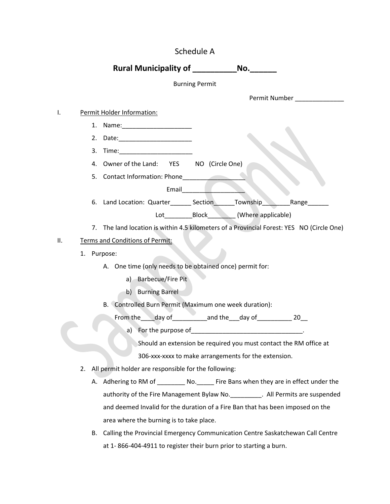|     |    | Schedule A                                                                                                     |  |
|-----|----|----------------------------------------------------------------------------------------------------------------|--|
|     |    | Rural Municipality of ________________No.____                                                                  |  |
|     |    | <b>Burning Permit</b>                                                                                          |  |
|     |    | Permit Number                                                                                                  |  |
| I.  |    | Permit Holder Information:                                                                                     |  |
|     |    |                                                                                                                |  |
|     |    | 2.                                                                                                             |  |
|     |    | 3.                                                                                                             |  |
|     |    | 4. Owner of the Land: YES<br>NO (Circle One)                                                                   |  |
|     |    | 5. Contact Information: Phone                                                                                  |  |
|     |    | Email and the state of the state of the state of the state of the state of the state of the state of the state |  |
|     |    | 6. Land Location: Quarter_________ Section________ Township_<br>Range                                          |  |
|     |    | Lot___________________________________(Where applicable)                                                       |  |
|     |    | 7. The land location is within 4.5 kilometers of a Provincial Forest: YES NO (Circle One)                      |  |
| ΙΙ. |    | Terms and Conditions of Permit:                                                                                |  |
|     |    | 1. Purpose:                                                                                                    |  |
|     |    | A. One time (only needs to be obtained once) permit for:                                                       |  |
|     |    | <b>Barbecue/Fire Pit</b><br>a)                                                                                 |  |
|     |    | b) Burning Barrel                                                                                              |  |
|     |    | B. Controlled Burn Permit (Maximum one week duration):                                                         |  |
|     |    | From the ____ day of ____________ and the ___ day of _____________ 20__                                        |  |
|     |    | a) For the purpose of                                                                                          |  |
|     |    | Should an extension be required you must contact the RM office at                                              |  |
|     |    | 306-xxx-xxxx to make arrangements for the extension.                                                           |  |
|     | 2. | All permit holder are responsible for the following:                                                           |  |
|     |    |                                                                                                                |  |
|     |    |                                                                                                                |  |
|     |    | and deemed Invalid for the duration of a Fire Ban that has been imposed on the                                 |  |
|     |    | area where the burning is to take place.                                                                       |  |
|     |    | Calling the Provincial Emergency Communication Centre Saskatchewan Call Centre<br>В.                           |  |
|     |    | at 1-866-404-4911 to register their burn prior to starting a burn.                                             |  |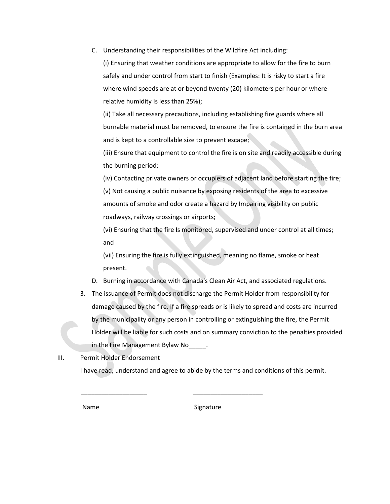C. Understanding their responsibilities of the Wildfire Act including:

(i) Ensuring that weather conditions are appropriate to allow for the fire to burn safely and under control from start to finish (Examples: It is risky to start a fire where wind speeds are at or beyond twenty (20) kilometers per hour or where relative humidity Is less than 25%);

(ii) Take all necessary precautions, including establishing fire guards where all burnable material must be removed, to ensure the fire is contained in the burn area and is kept to a controllable size to prevent escape;

(iii) Ensure that equipment to control the fire is on site and readily accessible during the burning period;

(iv) Contacting private owners or occupiers of adjacent land before starting the fire; (v) Not causing a public nuisance by exposing residents of the area to excessive amounts of smoke and odor create a hazard by Impairing visibility on public roadways, railway crossings or airports;

(vi) Ensuring that the fire Is monitored, supervised and under control at all times; and

(vii) Ensuring the fire is fully extinguished, meaning no flame, smoke or heat present.

- D. Burning in accordance with Canada's Clean Air Act, and associated regulations.
- 3. The issuance of Permit does not discharge the Permit Holder from responsibility for damage caused by the fire. If a fire spreads or is likely to spread and costs are incurred by the municipality or any person in controlling or extinguishing the fire, the Permit Holder will be liable for such costs and on summary conviction to the penalties provided in the Fire Management Bylaw No  $\blacksquare$ .

## III. Permit Holder Endorsement

\_\_\_\_\_\_\_\_\_\_\_\_\_\_\_\_\_\_\_ \_\_\_\_\_\_\_\_\_\_\_\_\_\_\_\_\_\_\_\_

I have read, understand and agree to abide by the terms and conditions of this permit.

Name Signature